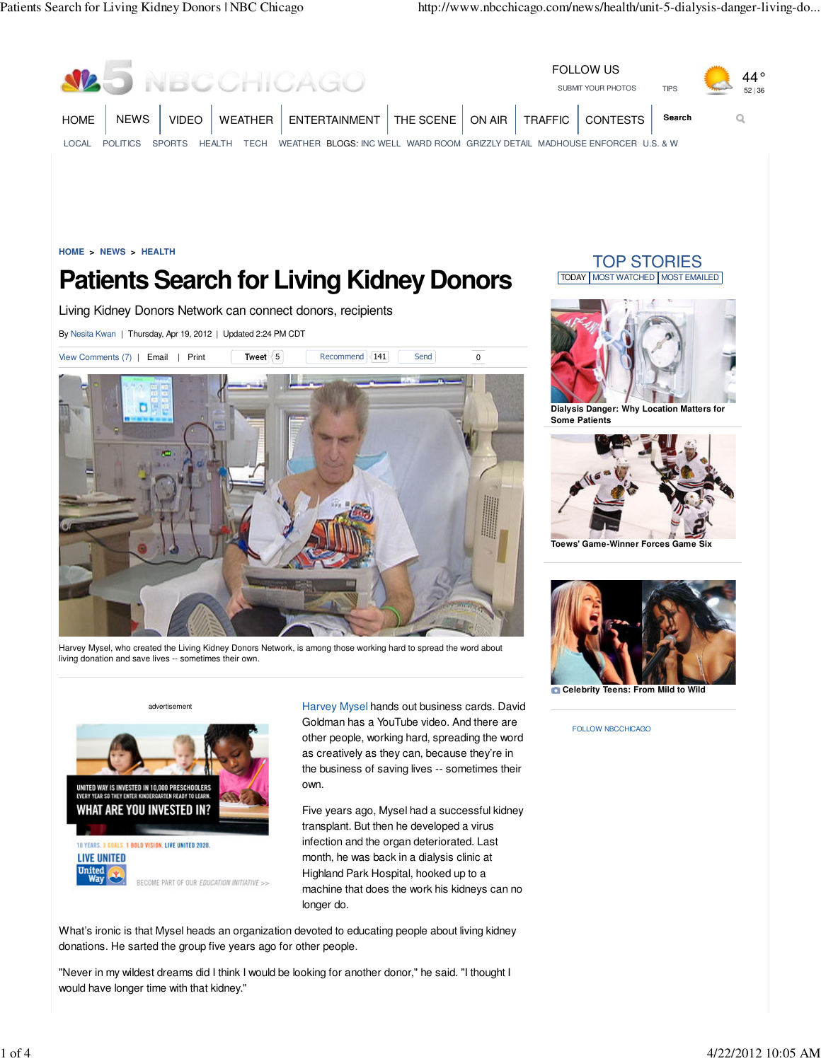



own.

Five years ago, Mysel had a successful kidney transplant. But then he developed a virus infection and the organ deteriorated. Last month, he was back in a dialysis clinic at Highland Park Hospital, hooked up to a machine that does the work his kidneys can no longer do.

What's ironic is that Mysel heads an organization devoted to educating people about living kidney donations. He sarted the group five years ago for other people.

"Never in my wildest dreams did I think I would be looking for another donor," he said. "I thought I would have longer time with that kidney."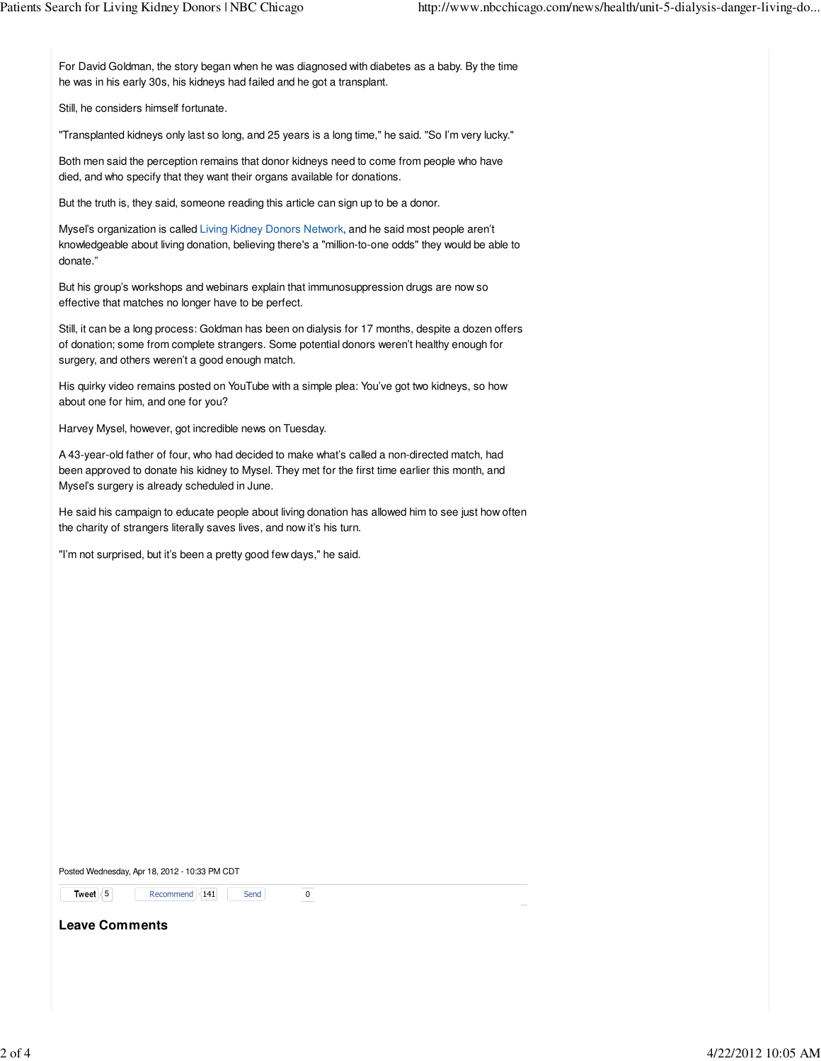For David Goldman, the story began when he was diagnosed with diabetes as a baby. By the time he was in his early 30s, his kidneys had failed and he got a transplant.

Still, he considers himself fortunate.

"Transplanted kidneys only last so long, and 25 years is a long time," he said. "So I'm very lucky."

Both men said the perception remains that donor kidneys need to come from people who have died, and who specify that they want their organs available for donations.

But the truth is, they said, someone reading this article can sign up to be a donor.

Mysel's organization is called Living Kidney Donors Network, and he said most people aren't knowledgeable about living donation, believing there's a "million-to-one odds" they would be able to donate."

But his group's workshops and webinars explain that immunosuppression drugs are now so effective that matches no longer have to be perfect.

Still, it can be a long process: Goldman has been on dialysis for 17 months, despite a dozen offers of donation; some from complete strangers. Some potential donors weren't healthy enough for surgery, and others weren't a good enough match.

His quirky video remains posted on YouTube with a simple plea: You've got two kidneys, so how about one for him, and one for you?

Harvey Mysel, however, got incredible news on Tuesday.

A 43-year-old father of four, who had decided to make what's called a non-directed match, had been approved to donate his kidney to Mysel. They met for the first time earlier this month, and Mysel's surgery is already scheduled in June.

He said his campaign to educate people about living donation has allowed him to see just how often the charity of strangers literally saves lives, and now it's his turn.

"I'm not surprised, but it's been a pretty good few days," he said.

Posted Wednesday, Apr 18, 2012 - 10:33 PM CDT

**Tweet**  $\langle 5 |$  Recommend 141 Send 0

**Leave Comments**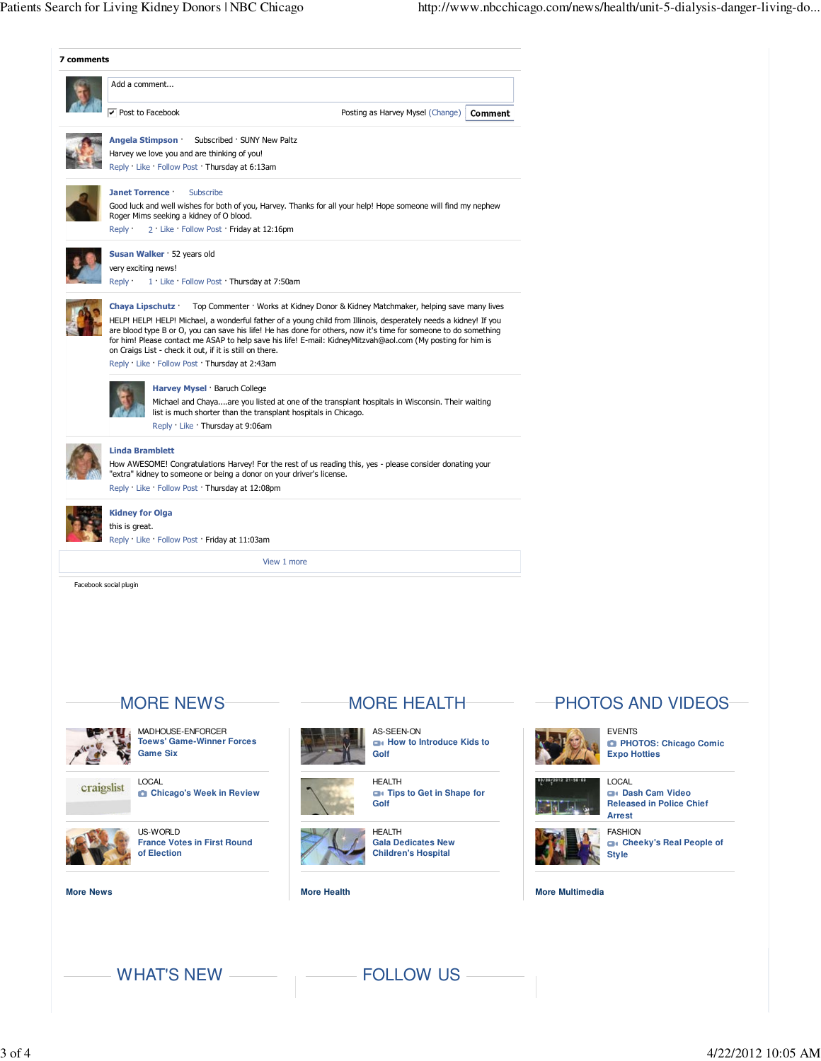